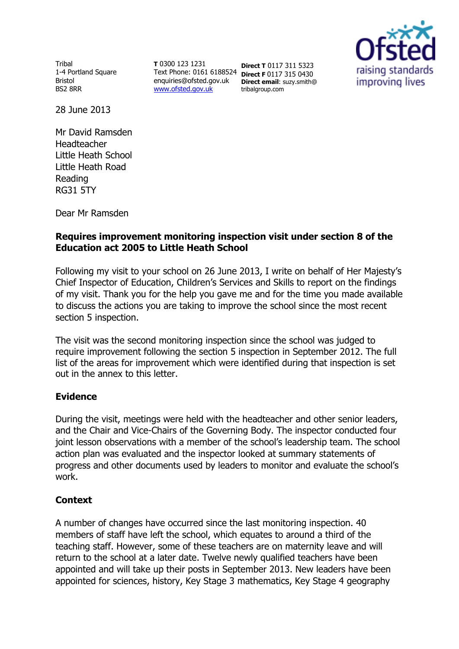Tribal 1-4 Portland Square Bristol BS2 8RR

**T** 0300 123 1231 Text Phone: 0161 6188524 enquiries@ofsted.gov.uk www.ofsted.gov.uk

**Direct T** 0117 311 5323 **Direct F** 0117 315 0430 **Direct email**: suzy.smith@ tribalgroup.com



28 June 2013

Mr David Ramsden Headteacher Little Heath School Little Heath Road Reading RG31 5TY

Dear Mr Ramsden

## **Requires improvement monitoring inspection visit under section 8 of the Education act 2005 to Little Heath School**

Following my visit to your school on 26 June 2013, I write on behalf of Her Majesty's Chief Inspector of Education, Children's Services and Skills to report on the findings of my visit. Thank you for the help you gave me and for the time you made available to discuss the actions you are taking to improve the school since the most recent section 5 inspection.

The visit was the second monitoring inspection since the school was judged to require improvement following the section 5 inspection in September 2012. The full list of the areas for improvement which were identified during that inspection is set out in the annex to this letter.

### **Evidence**

During the visit, meetings were held with the headteacher and other senior leaders, and the Chair and Vice-Chairs of the Governing Body. The inspector conducted four joint lesson observations with a member of the school's leadership team. The school action plan was evaluated and the inspector looked at summary statements of progress and other documents used by leaders to monitor and evaluate the school's work.

## **Context**

A number of changes have occurred since the last monitoring inspection. 40 members of staff have left the school, which equates to around a third of the teaching staff. However, some of these teachers are on maternity leave and will return to the school at a later date. Twelve newly qualified teachers have been appointed and will take up their posts in September 2013. New leaders have been appointed for sciences, history, Key Stage 3 mathematics, Key Stage 4 geography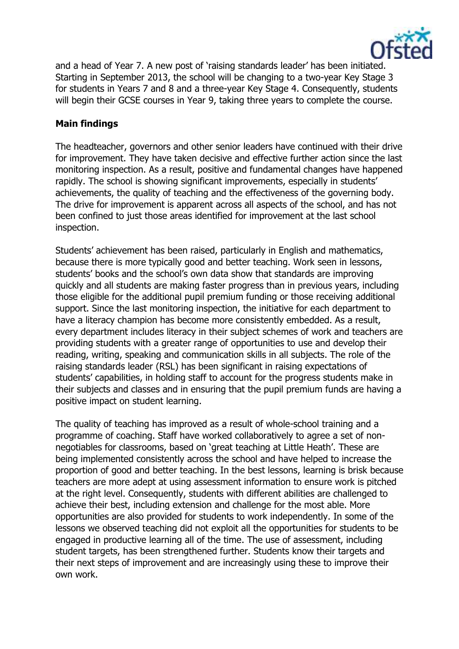

and a head of Year 7. A new post of 'raising standards leader' has been initiated. Starting in September 2013, the school will be changing to a two-year Key Stage 3 for students in Years 7 and 8 and a three-year Key Stage 4. Consequently, students will begin their GCSE courses in Year 9, taking three years to complete the course.

### **Main findings**

The headteacher, governors and other senior leaders have continued with their drive for improvement. They have taken decisive and effective further action since the last monitoring inspection. As a result, positive and fundamental changes have happened rapidly. The school is showing significant improvements, especially in students' achievements, the quality of teaching and the effectiveness of the governing body. The drive for improvement is apparent across all aspects of the school, and has not been confined to just those areas identified for improvement at the last school inspection.

Students' achievement has been raised, particularly in English and mathematics, because there is more typically good and better teaching. Work seen in lessons, students' books and the school's own data show that standards are improving quickly and all students are making faster progress than in previous years, including those eligible for the additional pupil premium funding or those receiving additional support. Since the last monitoring inspection, the initiative for each department to have a literacy champion has become more consistently embedded. As a result, every department includes literacy in their subject schemes of work and teachers are providing students with a greater range of opportunities to use and develop their reading, writing, speaking and communication skills in all subjects. The role of the raising standards leader (RSL) has been significant in raising expectations of students' capabilities, in holding staff to account for the progress students make in their subjects and classes and in ensuring that the pupil premium funds are having a positive impact on student learning.

The quality of teaching has improved as a result of whole-school training and a programme of coaching. Staff have worked collaboratively to agree a set of nonnegotiables for classrooms, based on 'great teaching at Little Heath'. These are being implemented consistently across the school and have helped to increase the proportion of good and better teaching. In the best lessons, learning is brisk because teachers are more adept at using assessment information to ensure work is pitched at the right level. Consequently, students with different abilities are challenged to achieve their best, including extension and challenge for the most able. More opportunities are also provided for students to work independently. In some of the lessons we observed teaching did not exploit all the opportunities for students to be engaged in productive learning all of the time. The use of assessment, including student targets, has been strengthened further. Students know their targets and their next steps of improvement and are increasingly using these to improve their own work.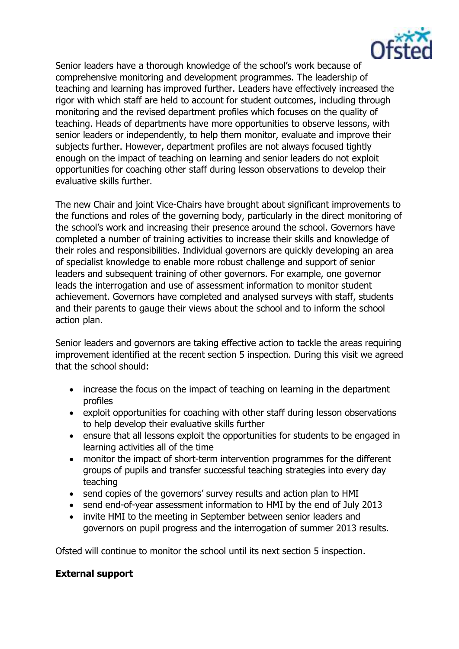

Senior leaders have a thorough knowledge of the school's work because of comprehensive monitoring and development programmes. The leadership of teaching and learning has improved further. Leaders have effectively increased the rigor with which staff are held to account for student outcomes, including through monitoring and the revised department profiles which focuses on the quality of teaching. Heads of departments have more opportunities to observe lessons, with senior leaders or independently, to help them monitor, evaluate and improve their subjects further. However, department profiles are not always focused tightly enough on the impact of teaching on learning and senior leaders do not exploit opportunities for coaching other staff during lesson observations to develop their evaluative skills further.

The new Chair and joint Vice-Chairs have brought about significant improvements to the functions and roles of the governing body, particularly in the direct monitoring of the school's work and increasing their presence around the school. Governors have completed a number of training activities to increase their skills and knowledge of their roles and responsibilities. Individual governors are quickly developing an area of specialist knowledge to enable more robust challenge and support of senior leaders and subsequent training of other governors. For example, one governor leads the interrogation and use of assessment information to monitor student achievement. Governors have completed and analysed surveys with staff, students and their parents to gauge their views about the school and to inform the school action plan.

Senior leaders and governors are taking effective action to tackle the areas requiring improvement identified at the recent section 5 inspection. During this visit we agreed that the school should:

- increase the focus on the impact of teaching on learning in the department profiles
- exploit opportunities for coaching with other staff during lesson observations to help develop their evaluative skills further
- ensure that all lessons exploit the opportunities for students to be engaged in learning activities all of the time
- monitor the impact of short-term intervention programmes for the different groups of pupils and transfer successful teaching strategies into every day teaching
- send copies of the governors' survey results and action plan to HMI
- send end-of-year assessment information to HMI by the end of July 2013
- invite HMI to the meeting in September between senior leaders and governors on pupil progress and the interrogation of summer 2013 results.

Ofsted will continue to monitor the school until its next section 5 inspection.

# **External support**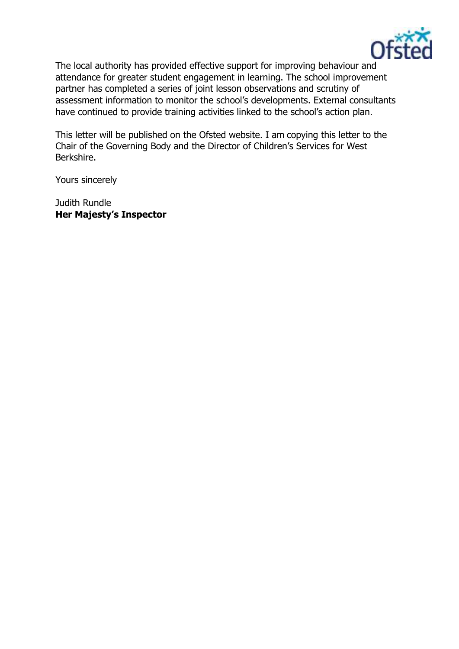

The local authority has provided effective support for improving behaviour and attendance for greater student engagement in learning. The school improvement partner has completed a series of joint lesson observations and scrutiny of assessment information to monitor the school's developments. External consultants have continued to provide training activities linked to the school's action plan.

This letter will be published on the Ofsted website. I am copying this letter to the Chair of the Governing Body and the Director of Children's Services for West Berkshire.

Yours sincerely

Judith Rundle **Her Majesty's Inspector**